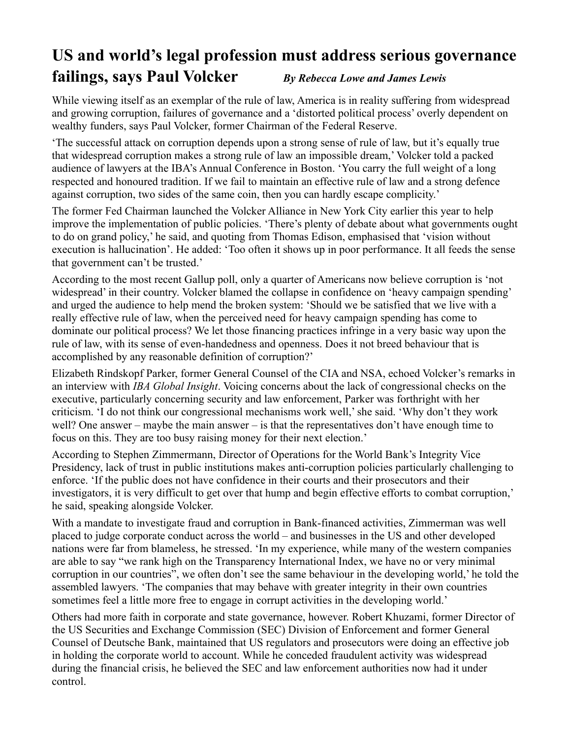## **US and world's legal profession must address serious governance failings, says Paul Volcker** *By Rebecca Lowe and James Lewis*

While viewing itself as an exemplar of the rule of law, America is in reality suffering from widespread and growing corruption, failures of governance and a 'distorted political process' overly dependent on wealthy funders, says Paul Volcker, former Chairman of the Federal Reserve.

'The successful attack on corruption depends upon a strong sense of rule of law, but it's equally true that widespread corruption makes a strong rule of law an impossible dream,' Volcker told a packed audience of lawyers at the IBA's Annual Conference in Boston. 'You carry the full weight of a long respected and honoured tradition. If we fail to maintain an effective rule of law and a strong defence against corruption, two sides of the same coin, then you can hardly escape complicity.'

The former Fed Chairman launched the Volcker Alliance in New York City earlier this year to help improve the implementation of public policies. 'There's plenty of debate about what governments ought to do on grand policy,' he said, and quoting from Thomas Edison, emphasised that 'vision without execution is hallucination'. He added: 'Too often it shows up in poor performance. It all feeds the sense that government can't be trusted.'

According to the most recent Gallup poll, only a quarter of Americans now believe corruption is 'not widespread' in their country. Volcker blamed the collapse in confidence on 'heavy campaign spending' and urged the audience to help mend the broken system: 'Should we be satisfied that we live with a really effective rule of law, when the perceived need for heavy campaign spending has come to dominate our political process? We let those financing practices infringe in a very basic way upon the rule of law, with its sense of even-handedness and openness. Does it not breed behaviour that is accomplished by any reasonable definition of corruption?'

Elizabeth Rindskopf Parker, former General Counsel of the CIA and NSA, echoed Volcker's remarks in an interview with *IBA Global Insight*. Voicing concerns about the lack of congressional checks on the executive, particularly concerning security and law enforcement, Parker was forthright with her criticism. 'I do not think our congressional mechanisms work well,' she said. 'Why don't they work well? One answer – maybe the main answer – is that the representatives don't have enough time to focus on this. They are too busy raising money for their next election.'

According to Stephen Zimmermann, Director of Operations for the World Bank's Integrity Vice Presidency, lack of trust in public institutions makes anti-corruption policies particularly challenging to enforce. 'If the public does not have confidence in their courts and their prosecutors and their investigators, it is very difficult to get over that hump and begin effective efforts to combat corruption,' he said, speaking alongside Volcker.

With a mandate to investigate fraud and corruption in Bank-financed activities, Zimmerman was well placed to judge corporate conduct across the world – and businesses in the US and other developed nations were far from blameless, he stressed. 'In my experience, while many of the western companies are able to say "we rank high on the Transparency International Index, we have no or very minimal corruption in our countries", we often don't see the same behaviour in the developing world,' he told the assembled lawyers. 'The companies that may behave with greater integrity in their own countries sometimes feel a little more free to engage in corrupt activities in the developing world.'

Others had more faith in corporate and state governance, however. Robert Khuzami, former Director of the US Securities and Exchange Commission (SEC) Division of Enforcement and former General Counsel of Deutsche Bank, maintained that US regulators and prosecutors were doing an effective job in holding the corporate world to account. While he conceded fraudulent activity was widespread during the financial crisis, he believed the SEC and law enforcement authorities now had it under control.